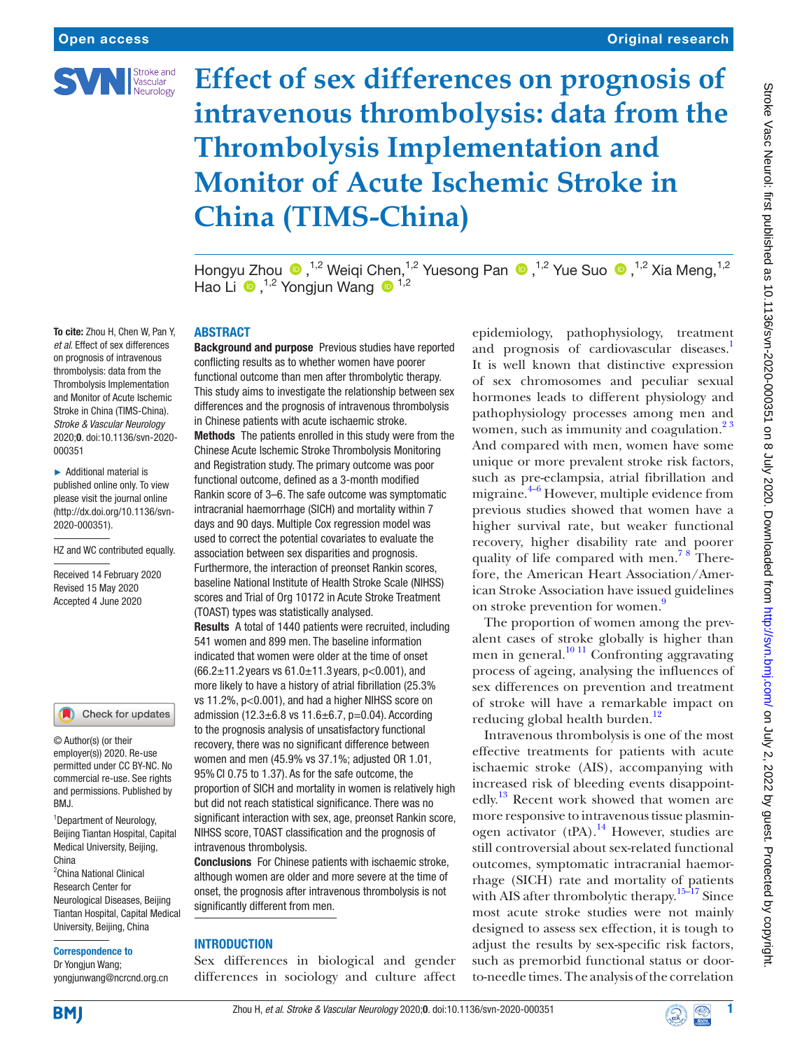

# **Effect of sex differences on prognosis of intravenous thrombolysis: data from the Thrombolysis Implementation and Monitor of Acute Ischemic Stroke in China (TIMS-China)**

HongyuZhou <sup>1,2</sup> Weiqi Chen,<sup>1,2</sup> Yuesong Pan <sup>1,2</sup> Yue Suo <sup>1,2</sup> Xia Meng,<sup>1,2</sup> Hao Li  $\bullet$ ,<sup>1,2</sup> Yongjun Wang  $\bullet$ <sup>1,2</sup>

To cite: Zhou H, Chen W, Pan Y, *et al*. Effect of sex differences on prognosis of intravenous thrombolysis: data from the Thrombolysis Implementation and Monitor of Acute Ischemic Stroke in China (TIMS-China). *Stroke & Vascular Neurology* 2020;0. doi:10.1136/svn-2020- 000351

► Additional material is published online only. To view please visit the journal online [\(http://dx.doi.org/10.1136/svn-](http://dx.doi.org/10.1136/svn-2020-000351)[2020-000351\)](http://dx.doi.org/10.1136/svn-2020-000351).

HZ and WC contributed equally.

Received 14 February 2020 Revised 15 May 2020 Accepted 4 June 2020

#### Check for updates

© Author(s) (or their employer(s)) 2020. Re-use permitted under CC BY-NC. No commercial re-use. See rights and permissions. Published by BMJ.

<sup>1</sup> Department of Neurology, Beijing Tiantan Hospital, Capital Medical University, Beijing, China

<sup>2</sup> China National Clinical Research Center for Neurological Diseases, Beijing Tiantan Hospital, Capital Medical University, Beijing, China

#### Correspondence to

Dr Yongjun Wang; yongjunwang@ncrcnd.org.cn **ABSTRACT** 

Background and purpose Previous studies have reported conflicting results as to whether women have poorer functional outcome than men after thrombolytic therapy. This study aims to investigate the relationship between sex differences and the prognosis of intravenous thrombolysis in Chinese patients with acute ischaemic stroke. Methods The patients enrolled in this study were from the Chinese Acute Ischemic Stroke Thrombolysis Monitoring and Registration study. The primary outcome was poor functional outcome, defined as a 3-month modified Rankin score of 3–6. The safe outcome was symptomatic intracranial haemorrhage (SICH) and mortality within 7 days and 90 days. Multiple Cox regression model was used to correct the potential covariates to evaluate the association between sex disparities and prognosis. Furthermore, the interaction of preonset Rankin scores, baseline National Institute of Health Stroke Scale (NIHSS) scores and Trial of Org 10172 in Acute Stroke Treatment (TOAST) types was statistically analysed.

Results A total of 1440 patients were recruited, including 541 women and 899 men. The baseline information indicated that women were older at the time of onset (66.2 $\pm$ 11.2 years vs 61.0 $\pm$ 11.3 years, p<0.001), and more likely to have a history of atrial fibrillation (25.3% vs 11.2%, p<0.001), and had a higher NIHSS score on admission (12.3 $\pm$ 6.8 vs 11.6 $\pm$ 6.7, p=0.04). According to the prognosis analysis of unsatisfactory functional recovery, there was no significant difference between women and men (45.9% vs 37.1%; adjusted OR 1.01, 95%CI 0.75 to 1.37). As for the safe outcome, the proportion of SICH and mortality in women is relatively high but did not reach statistical significance. There was no significant interaction with sex, age, preonset Rankin score, NIHSS score, TOAST classification and the prognosis of intravenous thrombolysis.

Conclusions For Chinese patients with ischaemic stroke, although women are older and more severe at the time of onset, the prognosis after intravenous thrombolysis is not significantly different from men.

#### **INTRODUCTION**

Sex differences in biological and gender differences in sociology and culture affect

epidemiology, pathophysiology, treatment and prognosis of cardiovascular diseases.<sup>1</sup> It is well known that distinctive expression of sex chromosomes and peculiar sexual hormones leads to different physiology and pathophysiology processes among men and women, such as immunity and coagulation. $2<sup>3</sup>$ And compared with men, women have some unique or more prevalent stroke risk factors, such as pre-eclampsia, atrial fibrillation and migraine. $4-6$  However, multiple evidence from previous studies showed that women have a higher survival rate, but weaker functional recovery, higher disability rate and poorer quality of life compared with men.<sup>78</sup> Therefore, the American Heart Association/American Stroke Association have issued guidelines on stroke prevention for women.<sup>9</sup>

The proportion of women among the prevalent cases of stroke globally is higher than men in general. $\frac{10 \text{ } 11}{100}$  Confronting aggravating process of ageing, analysing the influences of sex differences on prevention and treatment of stroke will have a remarkable impact on reducing global health burden.<sup>[12](#page-5-6)</sup>

Intravenous thrombolysis is one of the most effective treatments for patients with acute ischaemic stroke (AIS), accompanying with increased risk of bleeding events disappointedly.<sup>13</sup> Recent work showed that women are more responsive to intravenous tissue plasmin-ogen activator (tPA).<sup>[14](#page-5-8)</sup> However, studies are still controversial about sex-related functional outcomes, symptomatic intracranial haemorrhage (SICH) rate and mortality of patients with AIS after thrombolytic therapy.<sup>15–17</sup> Since most acute stroke studies were not mainly designed to assess sex effection, it is tough to adjust the results by sex-specific risk factors, such as premorbid functional status or doorto-needle times. The analysis of the correlation



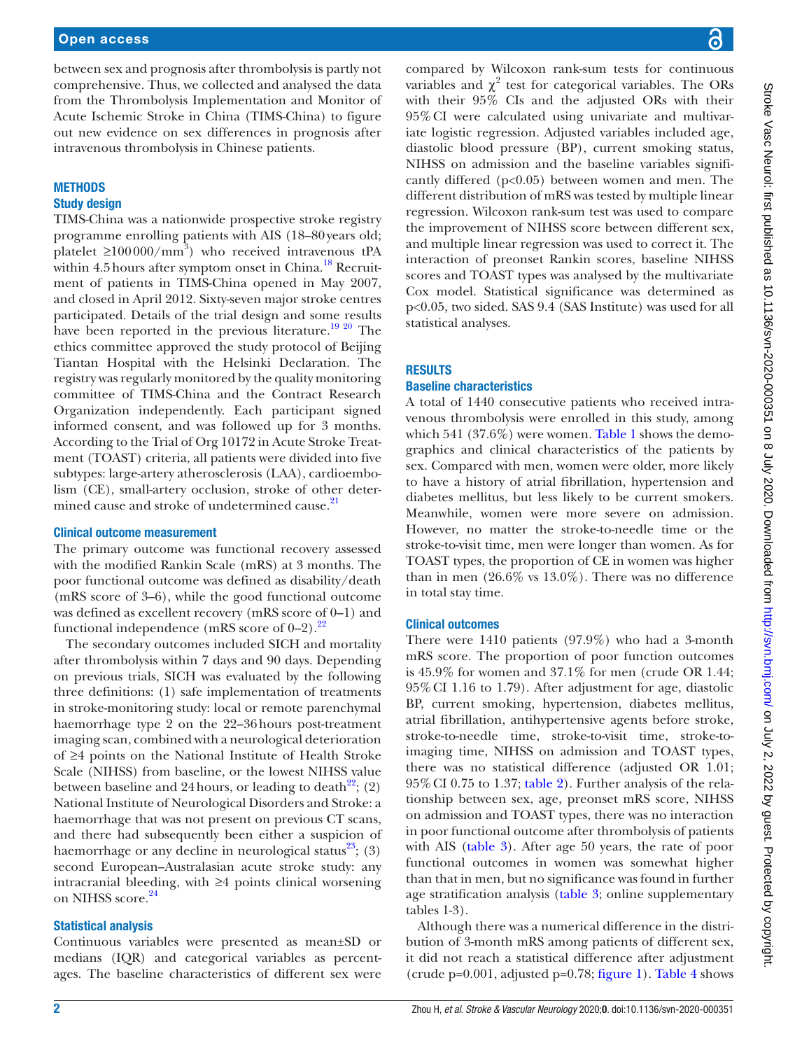between sex and prognosis after thrombolysis is partly not comprehensive. Thus, we collected and analysed the data from the Thrombolysis Implementation and Monitor of Acute Ischemic Stroke in China (TIMS-China) to figure out new evidence on sex differences in prognosis after intravenous thrombolysis in Chinese patients.

## **METHODS**

### Study design

TIMS-China was a nationwide prospective stroke registry programme enrolling patients with AIS (18–80years old; platelet  $\geq 100000/\text{mm}^3$ ) who received intravenous tPA within 4.5 hours after symptom onset in China. $^{18}$  $^{18}$  $^{18}$  Recruitment of patients in TIMS-China opened in May 2007, and closed in April 2012. Sixty-seven major stroke centres participated. Details of the trial design and some results have been reported in the previous literature.<sup>[19 20](#page-5-11)</sup> The ethics committee approved the study protocol of Beijing Tiantan Hospital with the Helsinki Declaration. The registry was regularly monitored by the quality monitoring committee of TIMS-China and the Contract Research Organization independently. Each participant signed informed consent, and was followed up for 3 months. According to the Trial of Org 10172 in Acute Stroke Treatment (TOAST) criteria, all patients were divided into five subtypes: large-artery atherosclerosis (LAA), cardioembolism (CE), small-artery occlusion, stroke of other deter-mined cause and stroke of undetermined cause.<sup>[21](#page-5-12)</sup>

#### Clinical outcome measurement

The primary outcome was functional recovery assessed with the modified Rankin Scale (mRS) at 3 months. The poor functional outcome was defined as disability/death (mRS score of 3–6), while the good functional outcome was defined as excellent recovery (mRS score of 0–1) and functional independence (mRS score of  $0-2$ ).<sup>[22](#page-5-13)</sup>

The secondary outcomes included SICH and mortality after thrombolysis within 7 days and 90 days. Depending on previous trials, SICH was evaluated by the following three definitions: (1) safe implementation of treatments in stroke-monitoring study: local or remote parenchymal haemorrhage type 2 on the 22–36hours post-treatment imaging scan, combined with a neurological deterioration of ≥4 points on the National Institute of Health Stroke Scale (NIHSS) from baseline, or the lowest NIHSS value between baseline and 24 hours, or leading to death<sup>[22](#page-5-13)</sup>; (2) National Institute of Neurological Disorders and Stroke: a haemorrhage that was not present on previous CT scans, and there had subsequently been either a suspicion of haemorrhage or any decline in neurological status<sup>23</sup>; (3) second European–Australasian acute stroke study: any intracranial bleeding, with ≥4 points clinical worsening on NIHSS score.<sup>[24](#page-5-15)</sup>

#### Statistical analysis

Continuous variables were presented as mean±SD or medians (IQR) and categorical variables as percentages. The baseline characteristics of different sex were

compared by Wilcoxon rank-sum tests for continuous variables and  $\chi^2$  test for categorical variables. The ORs with their 95% CIs and the adjusted ORs with their 95%CI were calculated using univariate and multivariate logistic regression. Adjusted variables included age, diastolic blood pressure (BP), current smoking status, NIHSS on admission and the baseline variables significantly differed  $(p<0.05)$  between women and men. The different distribution of mRS was tested by multiple linear regression. Wilcoxon rank-sum test was used to compare the improvement of NIHSS score between different sex, and multiple linear regression was used to correct it. The interaction of preonset Rankin scores, baseline NIHSS scores and TOAST types was analysed by the multivariate Cox model. Statistical significance was determined as p<0.05, two sided. SAS 9.4 (SAS Institute) was used for all statistical analyses.

#### **RESULTS**

#### Baseline characteristics

A total of 1440 consecutive patients who received intravenous thrombolysis were enrolled in this study, among which 541 (37.6%) were women. [Table](#page-2-0) 1 shows the demographics and clinical characteristics of the patients by sex. Compared with men, women were older, more likely to have a history of atrial fibrillation, hypertension and diabetes mellitus, but less likely to be current smokers. Meanwhile, women were more severe on admission. However, no matter the stroke-to-needle time or the stroke-to-visit time, men were longer than women. As for TOAST types, the proportion of CE in women was higher than in men (26.6% vs 13.0%). There was no difference in total stay time.

#### Clinical outcomes

There were 1410 patients (97.9%) who had a 3-month mRS score. The proportion of poor function outcomes is 45.9% for women and 37.1% for men (crude OR 1.44; 95%CI 1.16 to 1.79). After adjustment for age, diastolic BP, current smoking, hypertension, diabetes mellitus, atrial fibrillation, antihypertensive agents before stroke, stroke-to-needle time, stroke-to-visit time, stroke-toimaging time, NIHSS on admission and TOAST types, there was no statistical difference (adjusted OR 1.01; 95%CI 0.75 to 1.37; [table](#page-3-0) 2). Further analysis of the relationship between sex, age, preonset mRS score, NIHSS on admission and TOAST types, there was no interaction in poor functional outcome after thrombolysis of patients with AIS ([table](#page-3-1) 3). After age 50 years, the rate of poor functional outcomes in women was somewhat higher than that in men, but no significance was found in further age stratification analysis [\(table](#page-3-1) 3; [online supplementary](https://dx.doi.org/10.1136/svn-2020-000351)  [tables 1-3](https://dx.doi.org/10.1136/svn-2020-000351)).

Although there was a numerical difference in the distribution of 3-month mRS among patients of different sex, it did not reach a statistical difference after adjustment (crude  $p=0.001$ , adjusted  $p=0.78$ ; [figure](#page-4-0) 1). [Table](#page-4-1) 4 shows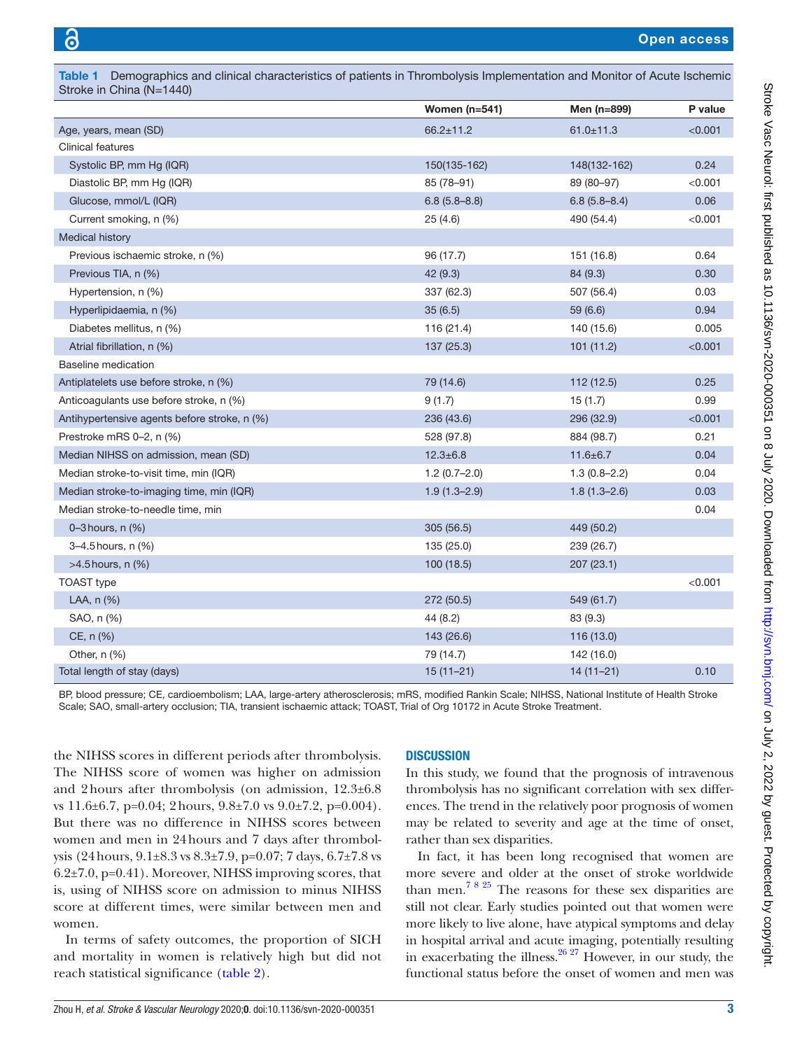| Stroke in China (N=1440)                     |                  |                  |         |
|----------------------------------------------|------------------|------------------|---------|
|                                              | Women $(n=541)$  | Men (n=899)      | P value |
| Age, years, mean (SD)                        | $66.2 \pm 11.2$  | $61.0 \pm 11.3$  | < 0.001 |
| <b>Clinical features</b>                     |                  |                  |         |
| Systolic BP, mm Hg (IQR)                     | 150(135-162)     | 148(132-162)     | 0.24    |
| Diastolic BP, mm Hg (IQR)                    | 85 (78-91)       | 89 (80-97)       | <0.001  |
| Glucose, mmol/L (IQR)                        | $6.8(5.8 - 8.8)$ | $6.8(5.8 - 8.4)$ | 0.06    |
| Current smoking, n (%)                       | 25(4.6)          | 490 (54.4)       | < 0.001 |
| Medical history                              |                  |                  |         |
| Previous ischaemic stroke, n (%)             | 96 (17.7)        | 151 (16.8)       | 0.64    |
| Previous TIA, n (%)                          | 42 (9.3)         | 84 (9.3)         | 0.30    |
| Hypertension, n (%)                          | 337 (62.3)       | 507 (56.4)       | 0.03    |
| Hyperlipidaemia, n (%)                       | 35(6.5)          | 59 (6.6)         | 0.94    |
| Diabetes mellitus, n (%)                     | 116 (21.4)       | 140 (15.6)       | 0.005   |
| Atrial fibrillation, n (%)                   | 137 (25.3)       | 101(11.2)        | < 0.001 |
| Baseline medication                          |                  |                  |         |
| Antiplatelets use before stroke, n (%)       | 79 (14.6)        | 112(12.5)        | 0.25    |
| Anticoagulants use before stroke, n (%)      | 9(1.7)           | 15(1.7)          | 0.99    |
| Antihypertensive agents before stroke, n (%) | 236 (43.6)       | 296 (32.9)       | < 0.001 |
| Prestroke mRS 0-2, n (%)                     | 528 (97.8)       | 884 (98.7)       | 0.21    |
| Median NIHSS on admission, mean (SD)         | $12.3 \pm 6.8$   | $11.6 \pm 6.7$   | 0.04    |
| Median stroke-to-visit time, min (IQR)       | $1.2(0.7-2.0)$   | $1.3(0.8 - 2.2)$ | 0.04    |
| Median stroke-to-imaging time, min (IQR)     | $1.9(1.3 - 2.9)$ | $1.8(1.3 - 2.6)$ | 0.03    |
| Median stroke-to-needle time, min            |                  |                  | 0.04    |
| 0–3 hours, n (%)                             | 305 (56.5)       | 449 (50.2)       |         |
| 3–4.5 hours, n (%)                           | 135 (25.0)       | 239 (26.7)       |         |
| $>4.5$ hours, n $(\%)$                       | 100(18.5)        | 207 (23.1)       |         |
| <b>TOAST</b> type                            |                  |                  | < 0.001 |
| LAA, n (%)                                   | 272(50.5)        | 549 (61.7)       |         |
| SAO, n (%)                                   | 44 (8.2)         | 83 (9.3)         |         |
| CE, n (%)                                    | 143 (26.6)       | 116 (13.0)       |         |
| Other, n (%)                                 | 79 (14.7)        | 142 (16.0)       |         |
| Total length of stay (days)                  | $15(11-21)$      | $14(11 - 21)$    | 0.10    |

<span id="page-2-0"></span>Table 1 Demographics and clinical characteristics of patients in Thrombolysis Implementation and Monitor of Acute Ischemic

BP, blood pressure; CE, cardioembolism; LAA, large-artery atherosclerosis; mRS, modified Rankin Scale; NIHSS, National Institute of Health Stroke Scale; SAO, small-artery occlusion; TIA, transient ischaemic attack; TOAST, Trial of Org 10172 in Acute Stroke Treatment.

the NIHSS scores in different periods after thrombolysis. The NIHSS score of women was higher on admission and 2hours after thrombolysis (on admission, 12.3±6.8 vs 11.6±6.7, p=0.04; 2hours, 9.8±7.0 vs 9.0±7.2, p=0.004). But there was no difference in NIHSS scores between women and men in 24hours and 7 days after thrombolysis (24hours, 9.1±8.3 vs 8.3±7.9, p=0.07; 7 days, 6.7±7.8 vs 6.2±7.0, p=0.41). Moreover, NIHSS improving scores, that is, using of NIHSS score on admission to minus NIHSS score at different times, were similar between men and women.

In terms of safety outcomes, the proportion of SICH and mortality in women is relatively high but did not reach statistical significance ([table](#page-3-0) 2).

#### **DISCUSSION**

In this study, we found that the prognosis of intravenous thrombolysis has no significant correlation with sex differences. The trend in the relatively poor prognosis of women may be related to severity and age at the time of onset, rather than sex disparities.

In fact, it has been long recognised that women are more severe and older at the onset of stroke worldwide than men.<sup>7 8 25</sup> The reasons for these sex disparities are still not clear. Early studies pointed out that women were more likely to live alone, have atypical symptoms and delay in hospital arrival and acute imaging, potentially resulting in exacerbating the illness.  $26\frac{27}{27}$  However, in our study, the functional status before the onset of women and men was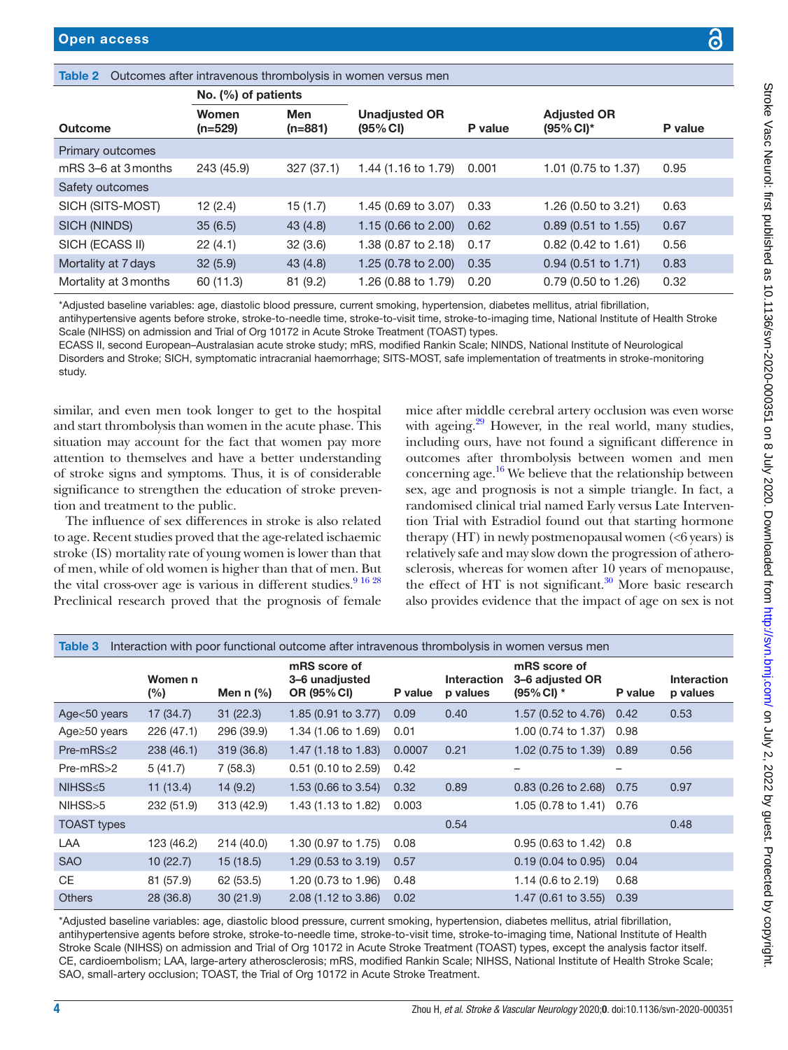#### <span id="page-3-0"></span>Table 2 Outcomes after intravenous thrombolysis in women versus men

|                       | No. $(\%)$ of patients |                         |                                  |         |                                               |         |
|-----------------------|------------------------|-------------------------|----------------------------------|---------|-----------------------------------------------|---------|
| Outcome               | Women<br>$(n=529)$     | <b>Men</b><br>$(n=881)$ | <b>Unadjusted OR</b><br>(95% CI) | P value | <b>Adjusted OR</b><br>$(95\% \, \text{Cl})^*$ | P value |
| Primary outcomes      |                        |                         |                                  |         |                                               |         |
| mRS 3–6 at 3 months   | 243 (45.9)             | 327(37.1)               | 1.44 (1.16 to 1.79)              | 0.001   | 1.01 (0.75 to 1.37)                           | 0.95    |
| Safety outcomes       |                        |                         |                                  |         |                                               |         |
| SICH (SITS-MOST)      | 12(2.4)                | 15(1.7)                 | 1.45 (0.69 to 3.07)              | 0.33    | 1.26 (0.50 to 3.21)                           | 0.63    |
| SICH (NINDS)          | 35(6.5)                | 43(4.8)                 | 1.15 (0.66 to 2.00)              | 0.62    | $0.89$ (0.51 to 1.55)                         | 0.67    |
| SICH (ECASS II)       | 22(4.1)                | 32(3.6)                 | 1.38 (0.87 to 2.18)              | 0.17    | $0.82$ (0.42 to 1.61)                         | 0.56    |
| Mortality at 7 days   | 32(5.9)                | 43(4.8)                 | 1.25 (0.78 to 2.00)              | 0.35    | $0.94$ (0.51 to 1.71)                         | 0.83    |
| Mortality at 3 months | 60 (11.3)              | 81(9.2)                 | 1.26 (0.88 to 1.79)              | 0.20    | $0.79$ (0.50 to 1.26)                         | 0.32    |

\*Adjusted baseline variables: age, diastolic blood pressure, current smoking, hypertension, diabetes mellitus, atrial fibrillation,

antihypertensive agents before stroke, stroke-to-needle time, stroke-to-visit time, stroke-to-imaging time, National Institute of Health Stroke Scale (NIHSS) on admission and Trial of Org 10172 in Acute Stroke Treatment (TOAST) types.

ECASS II, second European–Australasian acute stroke study; mRS, modified Rankin Scale; NINDS, National Institute of Neurological Disorders and Stroke; SICH, symptomatic intracranial haemorrhage; SITS-MOST, safe implementation of treatments in stroke-monitoring study.

similar, and even men took longer to get to the hospital and start thrombolysis than women in the acute phase. This situation may account for the fact that women pay more attention to themselves and have a better understanding of stroke signs and symptoms. Thus, it is of considerable significance to strengthen the education of stroke prevention and treatment to the public.

The influence of sex differences in stroke is also related to age. Recent studies proved that the age-related ischaemic stroke (IS) mortality rate of young women is lower than that of men, while of old women is higher than that of men. But the vital cross-over age is various in different studies. $9^{16\,28}$ Preclinical research proved that the prognosis of female

mice after middle cerebral artery occlusion was even worse with ageing.<sup>[29](#page-5-17)</sup> However, in the real world, many studies, including ours, have not found a significant difference in outcomes after thrombolysis between women and men concerning age.[16](#page-5-18) We believe that the relationship between sex, age and prognosis is not a simple triangle. In fact, a randomised clinical trial named Early versus Late Intervention Trial with Estradiol found out that starting hormone therapy  $(HT)$  in newly postmenopausal women  $(*6* years)$  is relatively safe and may slow down the progression of atherosclerosis, whereas for women after 10 years of menopause, the effect of HT is not significant.<sup>30</sup> More basic research also provides evidence that the impact of age on sex is not

<span id="page-3-1"></span>

| Interaction with poor functional outcome after intravenous thrombolysis in women versus men<br>Table 3 |                   |             |                                               |         |                                |                                                    |         |                                |
|--------------------------------------------------------------------------------------------------------|-------------------|-------------|-----------------------------------------------|---------|--------------------------------|----------------------------------------------------|---------|--------------------------------|
|                                                                                                        | Women n<br>$(\%)$ | Men $n$ (%) | mRS score of<br>3-6 unadjusted<br>OR (95% CI) | P value | <b>Interaction</b><br>p values | mRS score of<br>3–6 adjusted OR<br>$(95\%$ CI) $*$ | P value | <b>Interaction</b><br>p values |
| Age<50 years                                                                                           | 17(34.7)          | 31(22.3)    | 1.85 (0.91 to 3.77)                           | 0.09    | 0.40                           | 1.57 (0.52 to 4.76)                                | 0.42    | 0.53                           |
| Age $\geq$ 50 years                                                                                    | 226 (47.1)        | 296 (39.9)  | 1.34 (1.06 to 1.69)                           | 0.01    |                                | 1.00 (0.74 to 1.37)                                | 0.98    |                                |
| $Pre-mRS \leq 2$                                                                                       | 238 (46.1)        | 319(36.8)   | 1.47 (1.18 to 1.83)                           | 0.0007  | 0.21                           | 1.02 (0.75 to 1.39)                                | 0.89    | 0.56                           |
| $Pre-mRS > 2$                                                                                          | 5(41.7)           | 7(58.3)     | $0.51$ (0.10 to 2.59)                         | 0.42    |                                |                                                    | -       |                                |
| $NIHSS \leq 5$                                                                                         | 11(13.4)          | 14(9.2)     | 1.53 (0.66 to 3.54)                           | 0.32    | 0.89                           | $0.83$ (0.26 to 2.68)                              | 0.75    | 0.97                           |
| NIHSS>5                                                                                                | 232 (51.9)        | 313(42.9)   | 1.43 (1.13 to 1.82)                           | 0.003   |                                | 1.05 (0.78 to 1.41)                                | 0.76    |                                |
| <b>TOAST types</b>                                                                                     |                   |             |                                               |         | 0.54                           |                                                    |         | 0.48                           |
| LAA                                                                                                    | 123 (46.2)        | 214 (40.0)  | 1.30 (0.97 to 1.75)                           | 0.08    |                                | 0.95 (0.63 to 1.42)                                | 0.8     |                                |
| <b>SAO</b>                                                                                             | 10(22.7)          | 15(18.5)    | $1.29(0.53 \text{ to } 3.19)$                 | 0.57    |                                | $0.19(0.04 \text{ to } 0.95)$                      | 0.04    |                                |
| <b>CE</b>                                                                                              | 81 (57.9)         | 62 (53.5)   | 1.20 (0.73 to 1.96)                           | 0.48    |                                | $1.14$ (0.6 to 2.19)                               | 0.68    |                                |
| <b>Others</b>                                                                                          | 28(36.8)          | 30(21.9)    | 2.08 (1.12 to 3.86)                           | 0.02    |                                | $1.47(0.61 \text{ to } 3.55)$                      | 0.39    |                                |

\*Adjusted baseline variables: age, diastolic blood pressure, current smoking, hypertension, diabetes mellitus, atrial fibrillation, antihypertensive agents before stroke, stroke-to-needle time, stroke-to-visit time, stroke-to-imaging time, National Institute of Health Stroke Scale (NIHSS) on admission and Trial of Org 10172 in Acute Stroke Treatment (TOAST) types, except the analysis factor itself. CE, cardioembolism; LAA, large-artery atherosclerosis; mRS, modified Rankin Scale; NIHSS, National Institute of Health Stroke Scale; SAO, small-artery occlusion; TOAST, the Trial of Org 10172 in Acute Stroke Treatment.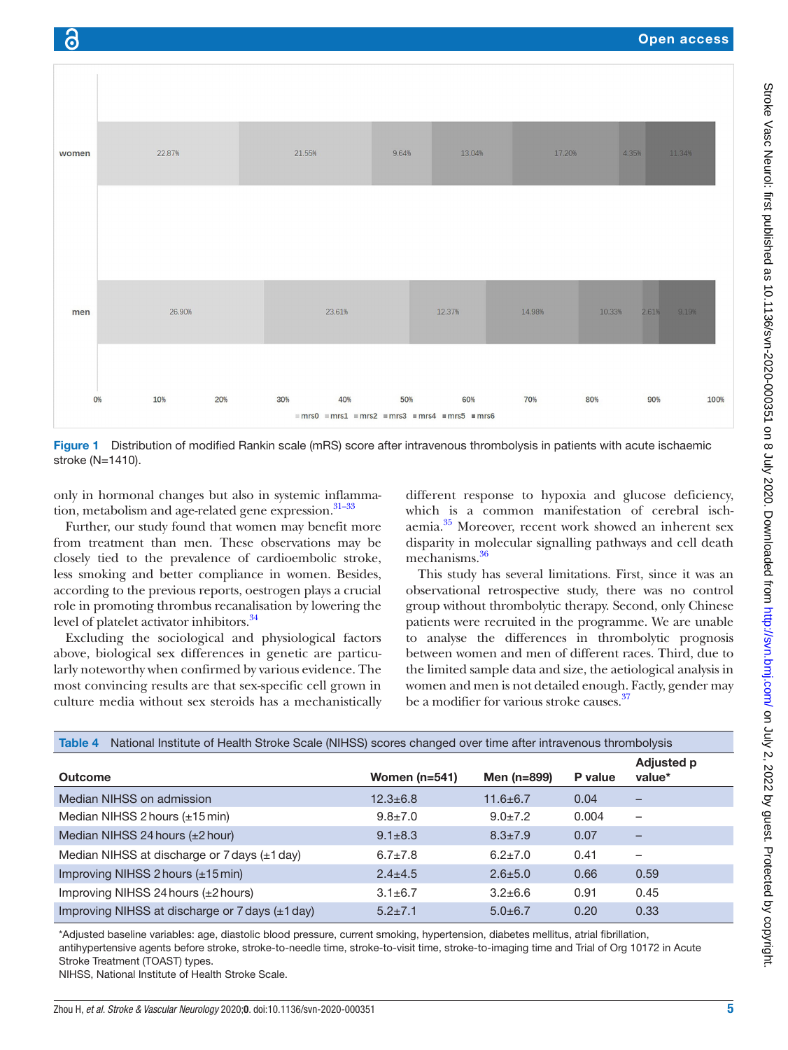

<span id="page-4-0"></span>Figure 1 Distribution of modified Rankin scale (mRS) score after intravenous thrombolysis in patients with acute ischaemic stroke (N=1410).

only in hormonal changes but also in systemic inflammation, metabolism and age-related gene expression.<sup>31-33</sup>

Further, our study found that women may benefit more from treatment than men. These observations may be closely tied to the prevalence of cardioembolic stroke, less smoking and better compliance in women. Besides, according to the previous reports, oestrogen plays a crucial role in promoting thrombus recanalisation by lowering the level of platelet activator inhibitors.<sup>34</sup>

Excluding the sociological and physiological factors above, biological sex differences in genetic are particularly noteworthy when confirmed by various evidence. The most convincing results are that sex-specific cell grown in culture media without sex steroids has a mechanistically

different response to hypoxia and glucose deficiency, which is a common manifestation of cerebral ischaemia.<sup>35</sup> Moreover, recent work showed an inherent sex disparity in molecular signalling pathways and cell death mechanisms.<sup>[36](#page-5-23)</sup>

This study has several limitations. First, since it was an observational retrospective study, there was no control group without thrombolytic therapy. Second, only Chinese patients were recruited in the programme. We are unable to analyse the differences in thrombolytic prognosis between women and men of different races. Third, due to the limited sample data and size, the aetiological analysis in women and men is not detailed enough. Factly, gender may be a modifier for various stroke causes.<sup>37</sup>

<span id="page-4-1"></span>

| National Institute of Health Stroke Scale (NIHSS) scores changed over time after intravenous thrombolysis<br>Table 4 |                 |                |         |                             |  |  |  |
|----------------------------------------------------------------------------------------------------------------------|-----------------|----------------|---------|-----------------------------|--|--|--|
| Outcome                                                                                                              | Women $(n=541)$ | Men (n=899)    | P value | <b>Adjusted p</b><br>value* |  |  |  |
| Median NIHSS on admission                                                                                            | $12.3 \pm 6.8$  | $11.6 \pm 6.7$ | 0.04    |                             |  |  |  |
| Median NIHSS 2 hours $(\pm 15 \text{ min})$                                                                          | $9.8 \pm 7.0$   | $9.0 \pm 7.2$  | 0.004   | -                           |  |  |  |
| Median NIHSS 24 hours $(\pm 2$ hour)                                                                                 | $9.1 \pm 8.3$   | $8.3 \pm 7.9$  | 0.07    |                             |  |  |  |
| Median NIHSS at discharge or $7$ days $(\pm 1$ day)                                                                  | $6.7 \pm 7.8$   | $6.2 \pm 7.0$  | 0.41    |                             |  |  |  |
| Improving NIHSS 2 hours (±15 min)                                                                                    | $2.4 \pm 4.5$   | $2.6 \pm 5.0$  | 0.66    | 0.59                        |  |  |  |
| Improving NIHSS 24 hours $(\pm 2$ hours)                                                                             | $3.1 \pm 6.7$   | $3.2 \pm 6.6$  | 0.91    | 0.45                        |  |  |  |
| Improving NIHSS at discharge or $7$ days $(\pm 1$ day)                                                               | $5.2 \pm 7.1$   | $5.0 \pm 6.7$  | 0.20    | 0.33                        |  |  |  |

\*Adjusted baseline variables: age, diastolic blood pressure, current smoking, hypertension, diabetes mellitus, atrial fibrillation,

antihypertensive agents before stroke, stroke-to-needle time, stroke-to-visit time, stroke-to-imaging time and Trial of Org 10172 in Acute Stroke Treatment (TOAST) types.

NIHSS, National Institute of Health Stroke Scale.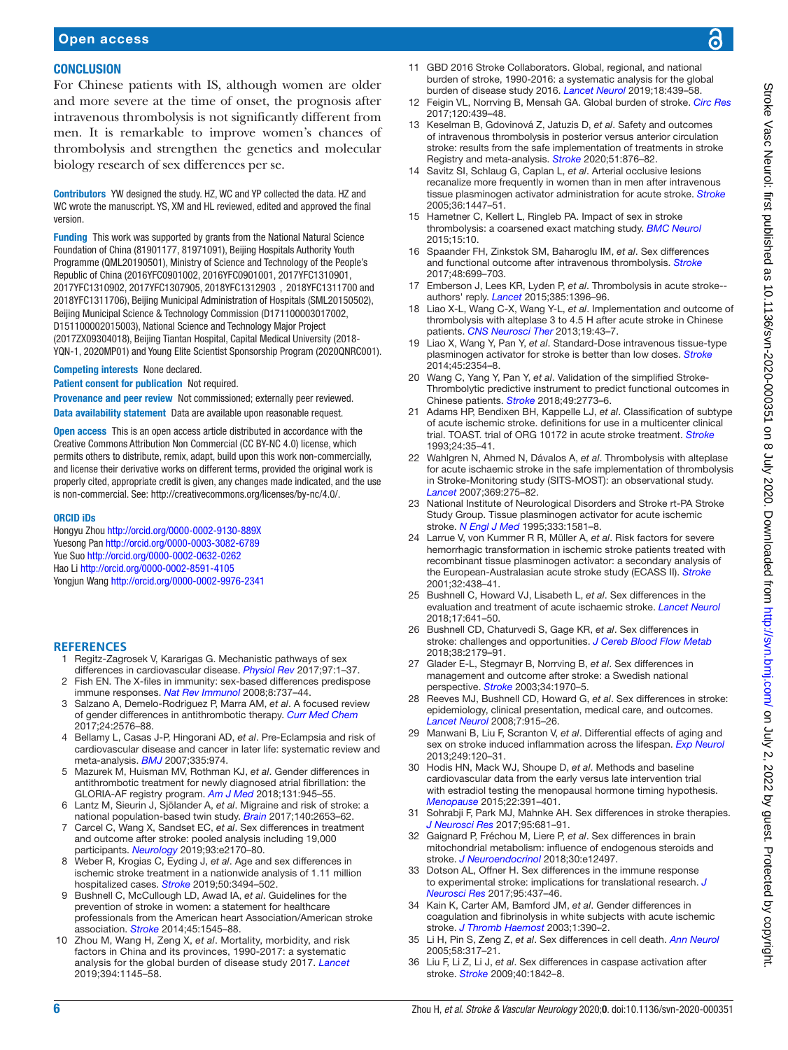#### **CONCLUSION**

For Chinese patients with IS, although women are older and more severe at the time of onset, the prognosis after intravenous thrombolysis is not significantly different from men. It is remarkable to improve women's chances of thrombolysis and strengthen the genetics and molecular biology research of sex differences per se.

Contributors YW designed the study. HZ, WC and YP collected the data. HZ and WC wrote the manuscript. YS, XM and HL reviewed, edited and approved the final version.

Funding This work was supported by grants from the National Natural Science Foundation of China (81901177, 81971091), Beijing Hospitals Authority Youth Programme (QML20190501), Ministry of Science and Technology of the People's Republic of China (2016YFC0901002, 2016YFC0901001, 2017YFC1310901, 2017YFC1310902, 2017YFC1307905, 2018YFC1312903,2018YFC1311700 and 2018YFC1311706), Beijing Municipal Administration of Hospitals (SML20150502), Beijing Municipal Science & Technology Commission (D171100003017002, D151100002015003), National Science and Technology Major Project (2017ZX09304018), Beijing Tiantan Hospital, Capital Medical University (2018- YQN-1, 2020MP01) and Young Elite Scientist Sponsorship Program (2020QNRC001).

#### Competing interests None declared.

Patient consent for publication Not required.

Provenance and peer review Not commissioned; externally peer reviewed. Data availability statement Data are available upon reasonable request.

Open access This is an open access article distributed in accordance with the Creative Commons Attribution Non Commercial (CC BY-NC 4.0) license, which permits others to distribute, remix, adapt, build upon this work non-commercially, and license their derivative works on different terms, provided the original work is properly cited, appropriate credit is given, any changes made indicated, and the use is non-commercial. See: [http://creativecommons.org/licenses/by-nc/4.0/.](http://creativecommons.org/licenses/by-nc/4.0/)

#### ORCID iDs

Hongyu Zhou<http://orcid.org/0000-0002-9130-889X> Yuesong Pan <http://orcid.org/0000-0003-3082-6789> Yue Suo<http://orcid.org/0000-0002-0632-0262> Hao Li <http://orcid.org/0000-0002-8591-4105> Yongjun Wang<http://orcid.org/0000-0002-9976-2341>

#### **References**

- <span id="page-5-0"></span>1 Regitz-Zagrosek V, Kararigas G. Mechanistic pathways of sex differences in cardiovascular disease. *[Physiol Rev](http://dx.doi.org/10.1152/physrev.00021.2015)* 2017;97:1–37.
- <span id="page-5-1"></span>2 Fish EN. The X-files in immunity: sex-based differences predispose immune responses. *[Nat Rev Immunol](http://dx.doi.org/10.1038/nri2394)* 2008;8:737–44.
- 3 Salzano A, Demelo-Rodriguez P, Marra AM, *et al*. A focused review of gender differences in antithrombotic therapy. *[Curr Med Chem](http://dx.doi.org/10.2174/0929867323666161029223512)* 2017;24:2576–88.
- <span id="page-5-2"></span>4 Bellamy L, Casas J-P, Hingorani AD, *et al*. Pre-Eclampsia and risk of cardiovascular disease and cancer in later life: systematic review and meta-analysis. *[BMJ](http://dx.doi.org/10.1136/bmj.39335.385301.BE)* 2007;335:974.
- 5 Mazurek M, Huisman MV, Rothman KJ, *et al*. Gender differences in antithrombotic treatment for newly diagnosed atrial fibrillation: the GLORIA-AF registry program. *[Am J Med](http://dx.doi.org/10.1016/j.amjmed.2018.03.024)* 2018;131:945–55.
- Lantz M, Sieurin J, Sjölander A, et al. Migraine and risk of stroke: a national population-based twin study. *[Brain](http://dx.doi.org/10.1093/brain/awx223)* 2017;140:2653–62.
- <span id="page-5-3"></span>7 Carcel C, Wang X, Sandset EC, *et al*. Sex differences in treatment and outcome after stroke: pooled analysis including 19,000 participants. *[Neurology](http://dx.doi.org/10.1212/WNL.0000000000008615)* 2019;93:e2170–80.
- 8 Weber R, Krogias C, Eyding J, *et al*. Age and sex differences in ischemic stroke treatment in a nationwide analysis of 1.11 million hospitalized cases. *[Stroke](http://dx.doi.org/10.1161/STROKEAHA.119.026723)* 2019;50:3494–502.
- <span id="page-5-4"></span>9 Bushnell C, McCullough LD, Awad IA, *et al*. Guidelines for the prevention of stroke in women: a statement for healthcare professionals from the American heart Association/American stroke association. *[Stroke](http://dx.doi.org/10.1161/01.str.0000442009.06663.48)* 2014;45:1545–88.
- <span id="page-5-5"></span>10 Zhou M, Wang H, Zeng X, *et al*. Mortality, morbidity, and risk factors in China and its provinces, 1990-2017: a systematic analysis for the global burden of disease study 2017. *[Lancet](http://dx.doi.org/10.1016/S0140-6736(19)30427-1)* 2019;394:1145–58.
- 11 GBD 2016 Stroke Collaborators. Global, regional, and national burden of stroke, 1990-2016: a systematic analysis for the global burden of disease study 2016. *[Lancet Neurol](http://dx.doi.org/10.1016/S1474-4422(19)30034-1)* 2019;18:439–58.
- <span id="page-5-6"></span>12 Feigin VL, Norrving B, Mensah GA. Global burden of stroke. *[Circ Res](http://dx.doi.org/10.1161/CIRCRESAHA.116.308413)* 2017;120:439–48.
- <span id="page-5-7"></span>13 Keselman B, Gdovinová Z, Jatuzis D, *et al*. Safety and outcomes of intravenous thrombolysis in posterior versus anterior circulation stroke: results from the safe implementation of treatments in stroke Registry and meta-analysis. *[Stroke](http://dx.doi.org/10.1161/STROKEAHA.119.027071)* 2020;51:876–82.
- <span id="page-5-8"></span>14 Savitz SI, Schlaug G, Caplan L, *et al*. Arterial occlusive lesions recanalize more frequently in women than in men after intravenous tissue plasminogen activator administration for acute stroke. *[Stroke](http://dx.doi.org/10.1161/01.STR.0000170647.42126.a8)* 2005;36:1447–51.
- <span id="page-5-9"></span>15 Hametner C, Kellert L, Ringleb PA. Impact of sex in stroke thrombolysis: a coarsened exact matching study. *[BMC Neurol](http://dx.doi.org/10.1186/s12883-015-0262-z)* 2015;15:10.
- <span id="page-5-18"></span>16 Spaander FH, Zinkstok SM, Baharoglu IM, *et al*. Sex differences and functional outcome after intravenous thrombolysis. *[Stroke](http://dx.doi.org/10.1161/STROKEAHA.116.014739)* 2017;48:699–703.
- 17 Emberson J, Lees KR, Lyden P, *et al*. Thrombolysis in acute stroke- authors' reply. *[Lancet](http://dx.doi.org/10.1016/S0140-6736(15)60718-8)* 2015;385:1396–96.
- <span id="page-5-10"></span>18 Liao X-L, Wang C-X, Wang Y-L, *et al*. Implementation and outcome of thrombolysis with alteplase 3 to 4.5 H after acute stroke in Chinese patients. *[CNS Neurosci Ther](http://dx.doi.org/10.1111/cns.12031)* 2013;19:43–7.
- <span id="page-5-11"></span>19 Liao X, Wang Y, Pan Y, *et al*. Standard-Dose intravenous tissue-type plasminogen activator for stroke is better than low doses. *[Stroke](http://dx.doi.org/10.1161/STROKEAHA.114.005989)* 2014;45:2354–8.
- 20 Wang C, Yang Y, Pan Y, *et al*. Validation of the simplified Stroke-Thrombolytic predictive instrument to predict functional outcomes in Chinese patients. *[Stroke](http://dx.doi.org/10.1161/STROKEAHA.118.022269)* 2018;49:2773–6.
- <span id="page-5-12"></span>21 Adams HP, Bendixen BH, Kappelle LJ, *et al*. Classification of subtype of acute ischemic stroke. definitions for use in a multicenter clinical trial. TOAST. trial of ORG 10172 in acute stroke treatment. *[Stroke](http://dx.doi.org/10.1161/01.STR.24.1.35)* 1993;24:35–41.
- <span id="page-5-13"></span>22 Wahlgren N, Ahmed N, Dávalos A, *et al*. Thrombolysis with alteplase for acute ischaemic stroke in the safe implementation of thrombolysis in Stroke-Monitoring study (SITS-MOST): an observational study. *[Lancet](http://dx.doi.org/10.1016/S0140-6736(07)60149-4)* 2007;369:275–82.
- <span id="page-5-14"></span>23 National Institute of Neurological Disorders and Stroke rt-PA Stroke Study Group. Tissue plasminogen activator for acute ischemic stroke. *[N Engl J Med](http://dx.doi.org/10.1056/NEJM199512143332401)* 1995;333:1581–8.
- <span id="page-5-15"></span>Larrue V, von Kummer R R, Müller A, et al. Risk factors for severe hemorrhagic transformation in ischemic stroke patients treated with recombinant tissue plasminogen activator: a secondary analysis of the European-Australasian acute stroke study (ECASS II). *[Stroke](http://dx.doi.org/10.1161/01.str.32.2.438)* 2001;32:438–41.
- 25 Bushnell C, Howard VJ, Lisabeth L, *et al*. Sex differences in the evaluation and treatment of acute ischaemic stroke. *[Lancet Neurol](http://dx.doi.org/10.1016/S1474-4422(18)30201-1)* 2018;17:641–50.
- <span id="page-5-16"></span>26 Bushnell CD, Chaturvedi S, Gage KR, *et al*. Sex differences in stroke: challenges and opportunities. *[J Cereb Blood Flow Metab](http://dx.doi.org/10.1177/0271678X18793324)* 2018;38:2179–91.
- 27 Glader E-L, Stegmayr B, Norrving B, *et al*. Sex differences in management and outcome after stroke: a Swedish national perspective. *[Stroke](http://dx.doi.org/10.1161/01.STR.0000083534.81284.C5)* 2003;34:1970–5.
- 28 Reeves MJ, Bushnell CD, Howard G, *et al*. Sex differences in stroke: epidemiology, clinical presentation, medical care, and outcomes. *[Lancet Neurol](http://dx.doi.org/10.1016/S1474-4422(08)70193-5)* 2008;7:915–26.
- <span id="page-5-17"></span>29 Manwani B, Liu F, Scranton V, *et al*. Differential effects of aging and sex on stroke induced inflammation across the lifespan. *[Exp Neurol](http://dx.doi.org/10.1016/j.expneurol.2013.08.011)* 2013;249:120–31.
- <span id="page-5-19"></span>30 Hodis HN, Mack WJ, Shoupe D, *et al*. Methods and baseline cardiovascular data from the early versus late intervention trial with estradiol testing the menopausal hormone timing hypothesis. *[Menopause](http://dx.doi.org/10.1097/GME.0000000000000343)* 2015;22:391–401.
- <span id="page-5-20"></span>31 Sohrabji F, Park MJ, Mahnke AH. Sex differences in stroke therapies. *[J Neurosci Res](http://dx.doi.org/10.1002/jnr.23855)* 2017;95:681–91.
- 32 Gaignard P, Fréchou M, Liere P, *et al*. Sex differences in brain mitochondrial metabolism: influence of endogenous steroids and stroke. *[J Neuroendocrinol](http://dx.doi.org/10.1111/jne.12497)* 2018;30:e12497.
- 33 Dotson AL, Offner H. Sex differences in the immune response to experimental stroke: implications for translational research. *[J](http://dx.doi.org/10.1002/jnr.23784)  [Neurosci Res](http://dx.doi.org/10.1002/jnr.23784)* 2017;95:437–46.
- <span id="page-5-21"></span>34 Kain K, Carter AM, Bamford JM, *et al*. Gender differences in coagulation and fibrinolysis in white subjects with acute ischemic stroke. *[J Thromb Haemost](http://dx.doi.org/10.1046/j.1538-7836.2003.00040.x)* 2003;1:390–2.
- <span id="page-5-22"></span>35 Li H, Pin S, Zeng Z, *et al*. Sex differences in cell death. *[Ann Neurol](http://dx.doi.org/10.1002/ana.20538)* 2005;58:317–21.
- <span id="page-5-23"></span>36 Liu F, Li Z, Li J, *et al*. Sex differences in caspase activation after stroke. *[Stroke](http://dx.doi.org/10.1161/STROKEAHA.108.538686)* 2009;40:1842–8.